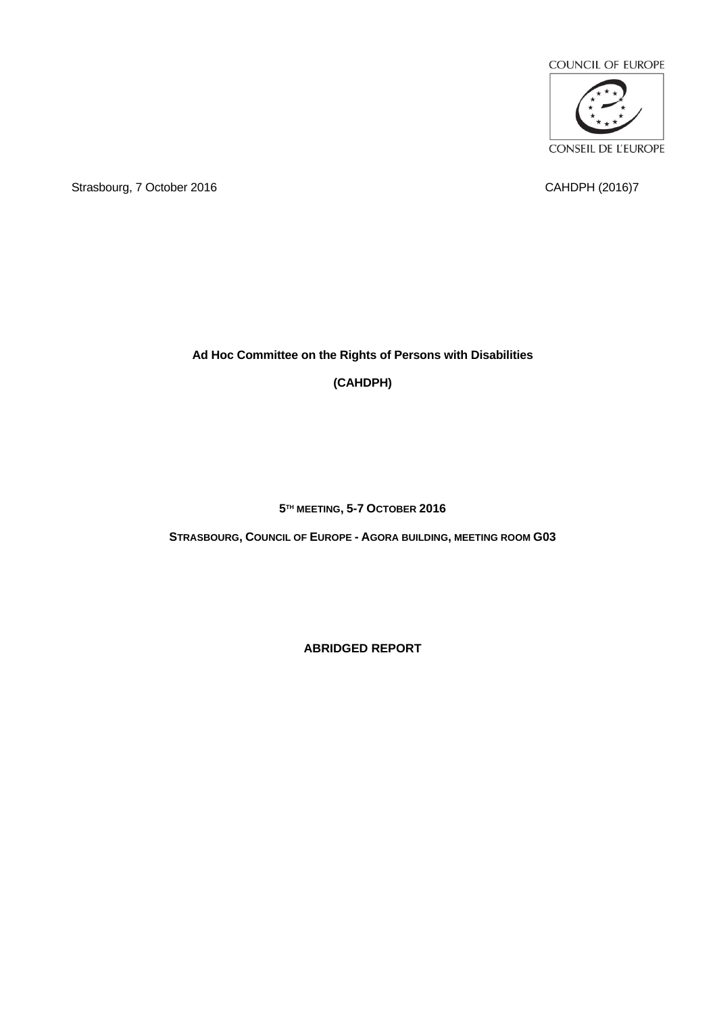

Strasbourg, 7 October 2016 CAHDPH (2016)7

# **Ad Hoc Committee on the Rights of Persons with Disabilities**

**(CAHDPH)**

**5 TH MEETING, 5-7 OCTOBER 2016**

**STRASBOURG, COUNCIL OF EUROPE - AGORA BUILDING, MEETING ROOM G03**

**ABRIDGED REPORT**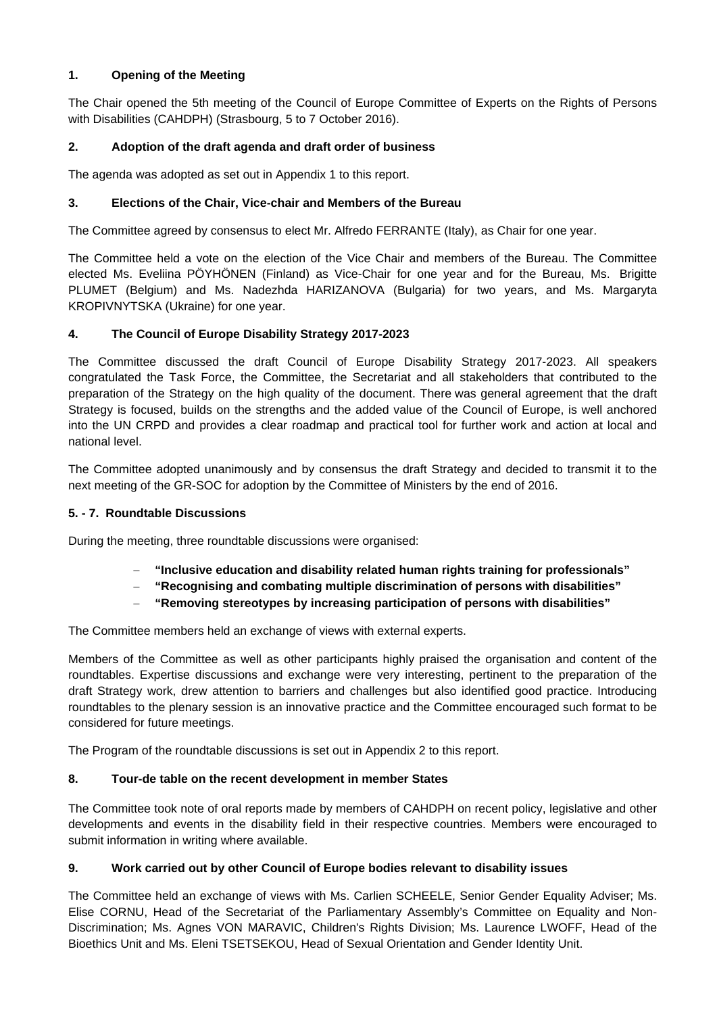### **1. Opening of the Meeting**

The Chair opened the 5th meeting of the Council of Europe Committee of Experts on the Rights of Persons with Disabilities (CAHDPH) (Strasbourg, 5 to 7 October 2016).

### **2. Adoption of the draft agenda and draft order of business**

The agenda was adopted as set out in Appendix 1 to this report.

### **3. Elections of the Chair, Vice-chair and Members of the Bureau**

The Committee agreed by consensus to elect Mr. Alfredo FERRANTE (Italy), as Chair for one year.

The Committee held a vote on the election of the Vice Chair and members of the Bureau. The Committee elected Ms. Eveliina PÖYHÖNEN (Finland) as Vice-Chair for one year and for the Bureau, Ms. Brigitte PLUMET (Belgium) and Ms. Nadezhda HARIZANOVA (Bulgaria) for two years, and Ms. Margaryta KROPIVNYTSKA (Ukraine) for one year.

### **4. The Council of Europe Disability Strategy 2017-2023**

The Committee discussed the draft Council of Europe Disability Strategy 2017-2023. All speakers congratulated the Task Force, the Committee, the Secretariat and all stakeholders that contributed to the preparation of the Strategy on the high quality of the document. There was general agreement that the draft Strategy is focused, builds on the strengths and the added value of the Council of Europe, is well anchored into the UN CRPD and provides a clear roadmap and practical tool for further work and action at local and national level.

The Committee adopted unanimously and by consensus the draft Strategy and decided to transmit it to the next meeting of the GR-SOC for adoption by the Committee of Ministers by the end of 2016.

#### **5. - 7. Roundtable Discussions**

During the meeting, three roundtable discussions were organised:

- **"Inclusive education and disability related human rights training for professionals"**
- **"Recognising and combating multiple discrimination of persons with disabilities"**
- **"Removing stereotypes by increasing participation of persons with disabilities"**

The Committee members held an exchange of views with external experts.

Members of the Committee as well as other participants highly praised the organisation and content of the roundtables. Expertise discussions and exchange were very interesting, pertinent to the preparation of the draft Strategy work, drew attention to barriers and challenges but also identified good practice. Introducing roundtables to the plenary session is an innovative practice and the Committee encouraged such format to be considered for future meetings.

The Program of the roundtable discussions is set out in Appendix 2 to this report.

#### **8. Tour-de table on the recent development in member States**

The Committee took note of oral reports made by members of CAHDPH on recent policy, legislative and other developments and events in the disability field in their respective countries. Members were encouraged to submit information in writing where available.

#### **9. Work carried out by other Council of Europe bodies relevant to disability issues**

The Committee held an exchange of views with Ms. Carlien SCHEELE, Senior Gender Equality Adviser; Ms. Elise CORNU, Head of the Secretariat of the Parliamentary Assembly's Committee on Equality and Non-Discrimination; Ms. Agnes VON MARAVIC, Children's Rights Division; Ms. Laurence LWOFF, Head of the Bioethics Unit and Ms. Eleni TSETSEKOU, Head of Sexual Orientation and Gender Identity Unit.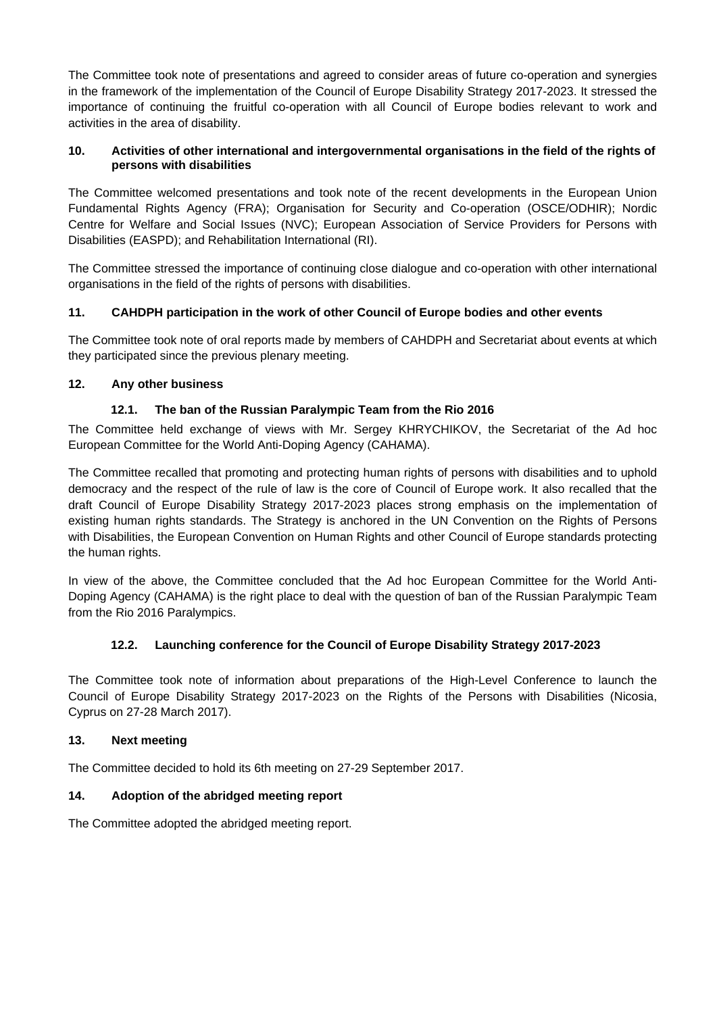The Committee took note of presentations and agreed to consider areas of future co-operation and synergies in the framework of the implementation of the Council of Europe Disability Strategy 2017-2023. It stressed the importance of continuing the fruitful co-operation with all Council of Europe bodies relevant to work and activities in the area of disability.

### **10. Activities of other international and intergovernmental organisations in the field of the rights of persons with disabilities**

The Committee welcomed presentations and took note of the recent developments in the European Union Fundamental Rights Agency (FRA); Organisation for Security and Co-operation (OSCE/ODHIR); Nordic Centre for Welfare and Social Issues (NVC); European Association of Service Providers for Persons with Disabilities (EASPD); and Rehabilitation International (RI).

The Committee stressed the importance of continuing close dialogue and co-operation with other international organisations in the field of the rights of persons with disabilities.

## **11. CAHDPH participation in the work of other Council of Europe bodies and other events**

The Committee took note of oral reports made by members of CAHDPH and Secretariat about events at which they participated since the previous plenary meeting.

## **12. Any other business**

# **12.1. The ban of the Russian Paralympic Team from the Rio 2016**

The Committee held exchange of views with Mr. Sergey KHRYCHIKOV, the Secretariat of the Ad hoc European Committee for the World Anti-Doping Agency (CAHAMA).

The Committee recalled that promoting and protecting human rights of persons with disabilities and to uphold democracy and the respect of the rule of law is the core of Council of Europe work. It also recalled that the draft Council of Europe Disability Strategy 2017-2023 places strong emphasis on the implementation of existing human rights standards. The Strategy is anchored in the UN Convention on the Rights of Persons with Disabilities, the European Convention on Human Rights and other Council of Europe standards protecting the human rights.

In view of the above, the Committee concluded that the Ad hoc European Committee for the World Anti-Doping Agency (CAHAMA) is the right place to deal with the question of ban of the Russian Paralympic Team from the Rio 2016 Paralympics.

## **12.2. Launching conference for the Council of Europe Disability Strategy 2017-2023**

The Committee took note of information about preparations of the High-Level Conference to launch the Council of Europe Disability Strategy 2017-2023 on the Rights of the Persons with Disabilities (Nicosia, Cyprus on 27-28 March 2017).

## **13. Next meeting**

The Committee decided to hold its 6th meeting on 27-29 September 2017.

## **14. Adoption of the abridged meeting report**

The Committee adopted the abridged meeting report.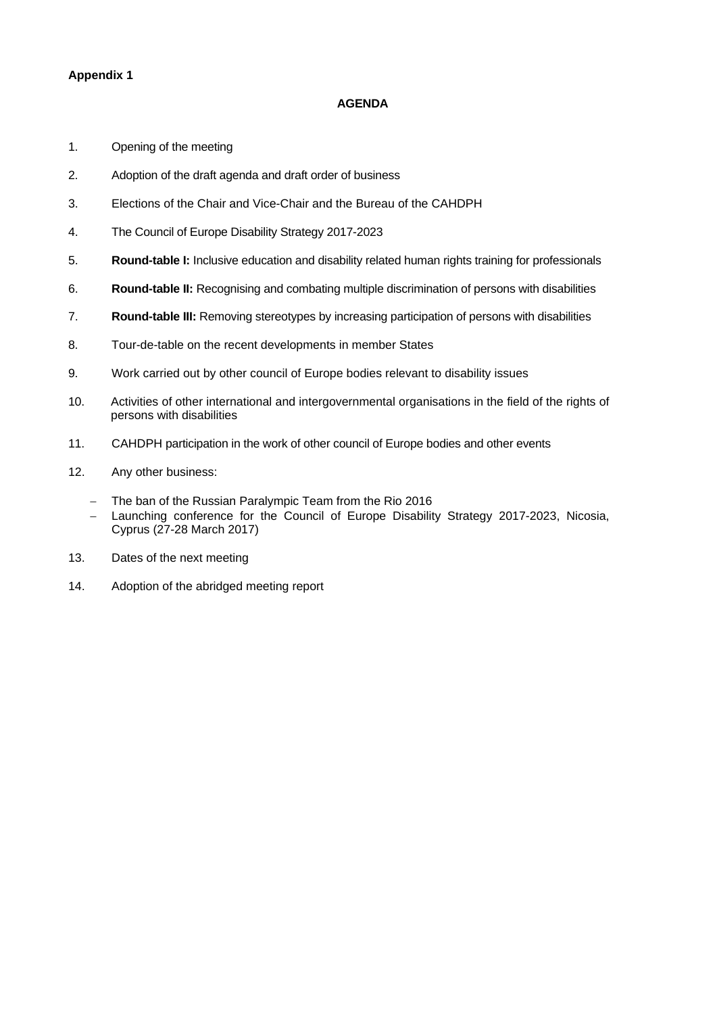### **Appendix 1**

#### **AGENDA**

- 1. Opening of the meeting
- 2. Adoption of the draft agenda and draft order of business
- 3. Elections of the Chair and Vice-Chair and the Bureau of the CAHDPH
- 4. The Council of Europe Disability Strategy 2017-2023
- 5. **Round-table I:** Inclusive education and disability related human rights training for professionals
- 6. **Round-table II:** Recognising and combating multiple discrimination of persons with disabilities
- 7. **Round-table III:** Removing stereotypes by increasing participation of persons with disabilities
- 8. Tour-de-table on the recent developments in member States
- 9. Work carried out by other council of Europe bodies relevant to disability issues
- 10. Activities of other international and intergovernmental organisations in the field of the rights of persons with disabilities
- 11. CAHDPH participation in the work of other council of Europe bodies and other events
- 12. Any other business:
	- The ban of the Russian Paralympic Team from the Rio 2016
	- Launching conference for the Council of Europe Disability Strategy 2017-2023, Nicosia, Cyprus (27-28 March 2017)
- 13. Dates of the next meeting
- 14. Adoption of the abridged meeting report